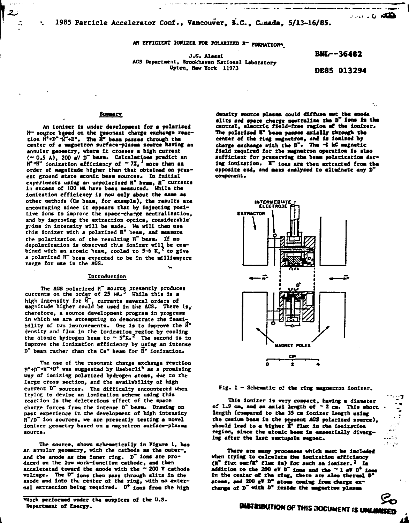AN EFFICIENT IONIZER FOR POLARIZED N<sup>-</sup> PORMATION<sup>4</sup>

J.G. Alessi AGS Department, Brookhaven National Laboratory Upton, New York 11973

**BML--36482** 

ه*ند*ه کنده

DE85 013294

## **Summary**

 $\mathbf{b}_1$ 

An ionizer is under development for a polarized  $R-$  source based on the resonant charge exchange reac-<br>tion  $R^4+D^4+T^2$ . The  $R^6$  bean passes through the center of a magnetron surface-plasma source having an annular geometry, where it crosses a high current  $(-0.5 A)$ , 200 eV D<sup>-</sup> beam. Calculations predict an  $H^{\circ}H^{-}$  ionization efficiency of  $\sim 7Z$ , nore than an order of magnitude higher than that obtained on present ground state atomic beam sources. In initial experiments using an unpolarized H<sup>\*</sup> beam, H<sup>\*</sup> currents in excess of 100 MA have been measured. While the ionization efficiency is now only about the same as other methods (Cs beam, for example), the results are encouraging since it appears that by injecting positive ions to improve the space-charge neutralization, and by improving the extraction optics, considerable gains in intensity will be made. We will then use<br>this ionizer with a polarized H<sup>e</sup> beam, and measure the polarization of the resulting R" beam. If no depolarization is observed this ionizer will be con-<br>bined with an atonic hean, cooled to 5-6 K,<sup>2</sup> to give a polarized HT beam expected to be in the millianpere range for use in the AGS.

#### Introduction

The AGS polarized H<sup> $-$ </sup> source presently produces<br>currents on the order of 25 MA.<sup>3</sup> While this is a<br>high intensity for H<sup> $-$ </sup>, currents several orders of<br>sagnitude higher could be used in the AGS. There is, therefore, a source development program in progress in which we are attempting to demonstrate the feasibility of two improvements. One is to improve the  $\bar{H}^*$ density and flux in the ionization region by cooling<br>the atomic hydrogen beam to  $\sim 5\degree K$ .<sup>2</sup> The second is to improve the ionization efficiency by using an intense D" beam rather than the Cs" beam for H" ionization.

The use of the resonant charge exchange reaction  $E^*+D^-+H^-+D^0$  was suggested by Haeberli<sup>4</sup> as a promising way of ionizing polarized hydrogen atoms, due to the large cross section, and the availability of high current D" sources. The difficulty encountered when trying to devise an ionization scheme using this reaction is the deleterious effect of the space charge forces from the intense D<sup>-</sup> beam. Drawing on past experience in the development of high intensity  $H<sup>2</sup>/D<sup>-</sup>$  ion sources, we are presently testing a novel ionizer geometry based on a magnetron surface-plasma source.

The source, shown schematically in Figure 1, has an annular geometry, with the cathode as the outer-, and the anode as the inner ring. D" ions are produced on the low work-function cathode, and then accelerated toward the anode with the  $\sim 200$  V cathode voltage. The D" ions then pass through slits in the<br>anode and into the center of the ring, with no external extraction being required. D<sup>+</sup> ions from the high

\*Work performed under the auspices of the U.S. Department of Energy.

density source plasma could diffuse out the anode slits and space charge nestralize the D<sup>-</sup> ions is the central, electric field-free region of the ionizer. The polarized W" beam passes axially through the center of the ring magnetron, and is ionized by charge exchange with the D<sup>-</sup>. The ~i kG magnetic field required for the magnetron operation is also sufficient for preserving the beam polarization during ionization. IT ions are then extracted from the opposite end, and mass analyzed to eliminate any D" component.



Fig. 1 - Schematic of the ring magnetron ionizer.

This ionizer is very compact, having a diameter<br>of 1.9 cm, and an axial length of  $\sim$  2 cm. This short length (compared to the 35 cm ionizer length using the cesium beam in the present AGS polarized source), should lead to a higher if flux in the ionization region, since the atomic been is essentially diverging after the last sextupole magnet.

There are many processes which must be included when trying to calculate the ionization efficiency (H" flux out/M" flux in) for such an ionizer.<sup>1</sup> In addition to the 200 eV D" fons and the  $^{\sim}$  1 eV D<sup>+</sup> for in the center of the ring, there are also thermal D' atoms, and 200 eV  $D^o$  atoms coming from charge ex-<br>change of  $D^o$  with  $D^o$  inside the magnetron plasma

لجفت لماركية وأنبا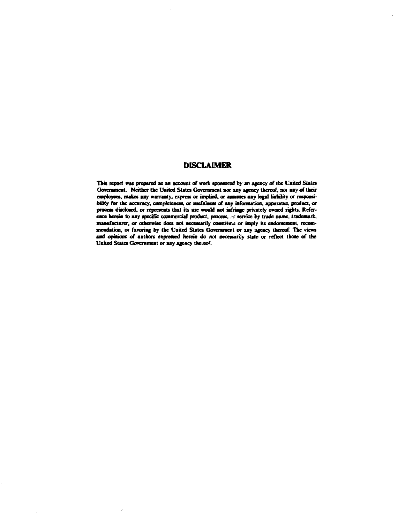# **DISCLAIMER**

This report was prepared as an account of work sponsored by an agency of the United States Government. Neither the United States Government nor any agency thereof, nor any of their employees, makes any warranty, express or implied, or assumes any legal liability or responsibility for the accuracy, completeness, or usefulness of any information, apparatus, product, or process disclosed, or represents that its use would not infringe privately owned rights. Reference herein to any specific commercial product, process, ar service by trade name, trademark, manufacturer, or otherwise does not necessarily constitute or imply its endorsement, recommendation, or favoring by the United States Government or any agency thereof. The views and opinions of authors expressed herein do not necessarily state or reflect those of the United States Government or any agency thereof.

 $\bar{\psi}$ 

 $\ddot{\phantom{a}}$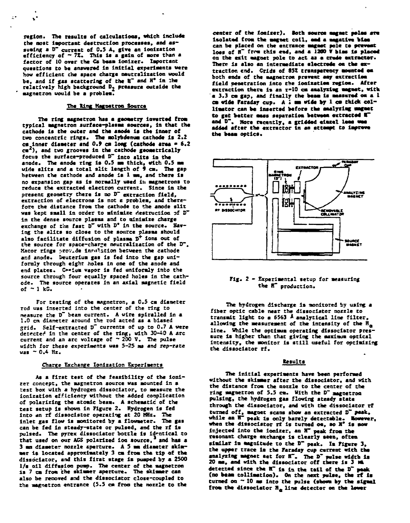region. The results of calculations, which include **Che most Important destruction processes, and assuming a D~ current of 0.5 A, give an lonlzatloa** efficiency of ~ 7%. This is a gain of more than a **factor of 10 over the Cc beam Ionizer. Important questions to be answered In Initial experiments were how efficient the apace charge neutralization would be, and If gas scattering of the H" and H\* in Ihe relatively high background Dj pressure outside the ' magnetron would be a problem.**

 $\mathbf{r}$ 

k.

#### **The King Magnetron Source**

The ring magnetron has a geometry inverted from **typical magnetron surface-plasma sources, ia that the cathode Is the outer and the anode Is the Inner of two concentric rings. The molybdenum cathode Is 2.2 cm Inner diameter and 0.9 ca long (cathode area • 6.2 ca ), and two grooves In the cathode geometrically focus the surface-produced D~ into silts In the anode. The anode ring is 0.5 mm thick, with 0.5 e\* wide slits and a total silt length of » ca. The gap between the cathode and anode is 1 mm, and there Is** no expansion gap as is normally used it magnetrons to **reduce the extracted electron current. Since in the present geometry there Is no 0~ extraction field, extraction of electrons Is not e problea, and there**fore the distance from the cathode to the anode slit was kept small in order to minimize destruction of D" in the dense source plasma and to minimize charge **exchange of the fast D" with D\* in the source. Having the slits so close to the source plasea should also facilitate diffusion of plasma D\* Ions out of the source for space-charge neutralization of the D". Macor rings provide lnFulation between the cathode** and anode. Deuterium gas is fed into the gap uni**formly through eight holes In one of the anode and end plates. O«ium vapor Is fed uniformly Into the** source through four equally spaced holes in the cath**ode. The source operates In an axial Magnetic field of ~ 1 kC.**

**For testing of the magnetron, a 0.5 cm dlaaeter rod uas Inserted into the center of the ring to measure the D~ bean current. A wire spiralled In a 1.0 en diameter around ths rod acted as a biased grid. Self-extracted VT currents of up to 0.7 A were detected in the center of the ring, with 30-60 A arc current and an arc voltage of ~ 200 T. The pulse** width for these experiments was 5-25 ms and rep-rate **uas ~ 0.4 Hz.**

### **Charge Exchange Ionlzation Experiments**

**As a first test of the feasibility of the Ionizer concept, the magnetron source was mounted in a test box with a hydrogen dissociator, to measure the ionizatlon efficiency without the added conpllcatlon of polarizing the atomic beam. A schematic of the test setup is shown In Figure 2. Hydrogen is fed into an rf dlssocistor operating at 20 MHz. The Inlet gas flow Is monitored by a flowmeter. The gas can be fed In steady-state or pulsed, and the rf Is pulsed. The pyrex dissociator bottle Is Identical to that used on our ACS polarized loo source,<sup>i</sup> and has a 3 ma diameter nozzle aperture. A 5 mm diameter skimmer Is located approximately 3 cm from the tip of the dissddator, and this flrat stage Is pumped by a 2500 1/s oil diffusion pump. The center of the magnetron is 7 cm from the skimmer aperture. The skimmer can also be renoved and the dissociator close-coupled to the magnetron entrance (5.5 cm froa the nozzle to the**

**center of the Ionizer), loth source magnet malms are Isolated from the magnet coll, mad a magatlve blms** can be placed on the entrance magnet pole to prevent loss of H<sup>"</sup> from this end, and a 1200 V bias is placed **on the exit magnet pole to act as a erase extractor. There Is also an Intermediate electrode on the extraction end. Crids of 85Z transparency mounted om both ends of the magnetron prevent «my extraction field penetration Into the loaizatiea regloa. After extraction there Is an r-10 cm amalyzlmg magnet, with a 3.3 cm gap, and finally the beam Is measured e\* a 1 cm wide Faraday cup. A I mm wide »y 1 cm thick col**limator can be inserted before the analyzing magnet **to get better mass separatism between extracted l~** and D<sup>-</sup>. More recently, a gridded elazel leas was **added after the extractor In an attempt to Improve the beam optics.**



### **Fig. 2 - Experimental setup for measuring the IT production.**

**The hydrogen discharge Is monitored by using a fiber optic cable near the dissociator nozzle to transmit light to a 6563 \* analytical line filter,** allowing the measurement of the intensity of the  $\mathbf{H}_{\mathbf{a}}$ **line. While the optimum operating dissociator pressure is higher than that giving the maximum optical Intensity, the Monitor Is still useful for optimizing the dissociator rf.**

## **Kesults**

**The Initial experiments have been performed without the skimmer after the dissociator, and with the distance from the nozzle to the center of the ring magnetron of 5.5 cm. With the D~ magnetron pulsing, the hydrogen gas flowing steady state through the dissociator, and with the dissociator rf turned off, magnet scans show an extracted 0~ peak, while an H~ peak Is only barely detectable. However, when the dissociator it is turned oa, so «\* Is mow Injected Into the Ionizer, an H~ peak from the resonant charge exchange Is clearly seen, often similar Is magnitude to the 0" peak. Im Figure 3, the upper trace la the Faraday cup current with the analyzing magnet set for S~, The D~ pulse width Is 20 me, and with the dissociator off there Is 3 Ml detected since the IT Is In the tall of the 0" peak (no beam colllmatlon). On the next pulse, the rf Is turned on ~ 10 ms Into the pulse {shorn by the slgmal from the dissociator Ma line detector on the lower**